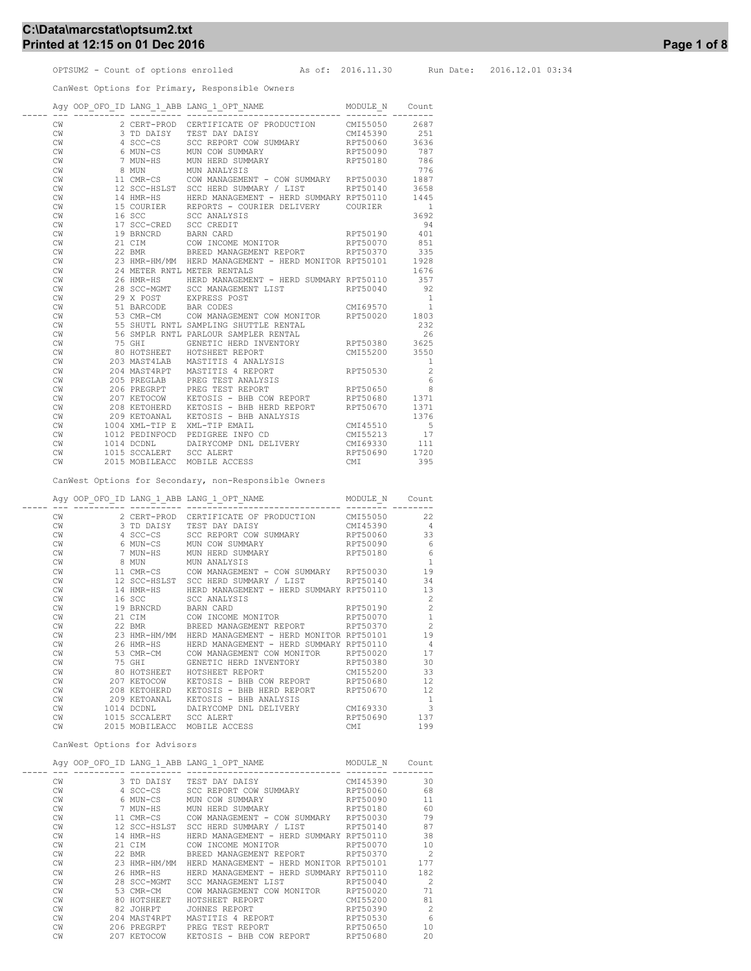## C:\Data\marcstat\optsum2.txt Printed at 12:15 on 01 Dec 2016 **Page 1 of 8** Page 1 of 8

OPTSUM2 - Count of options enrolled As of: 2016.11.30 Run Date: 2016.12.01 03:34

CanWest Options for Primary, Responsible Owners

|               |                                                | ${\tt Agy\ OOP\_OFO\_ID\ LANG\_1\_ABB\ LANG\_1\_OPT\_NAME} \label{eq:AGy\ OOP\_OFO\_ID\ LANG\_1\_ABB\ LANG\_1\_OPT\_NAME} \tag**}$ |               | Count                    |
|---------------|------------------------------------------------|------------------------------------------------------------------------------------------------------------------------------------|---------------|--------------------------|
| CW            | 2 CERT-PROD                                    | CERTIFICATE OF PRODUCTION CMI55050                                                                                                 |               | 2687                     |
| CW            | 3 TD DAISY                                     |                                                                                                                                    |               |                          |
| CW            | 4 SCC-CS                                       |                                                                                                                                    |               |                          |
| CW            | 6 MUN-CS                                       | MUN COW SUMMARY RPT50090                                                                                                           |               | 787                      |
| CW            |                                                | 7 MUN-HS MUN HERD SUMMARY                                                                                                          | RPT50180      | 786                      |
| CW            |                                                | 8 MUN MUN ANALYSIS                                                                                                                 |               | 776                      |
| CW            |                                                | 11 CMR-CS COW MANAGEMENT - COW SUMMARY RPT50030                                                                                    |               | 1887                     |
| CW            |                                                | 12 SCC-HSLST SCC HERD SUMMARY / LIST RPT50140                                                                                      |               | 3658                     |
| CW            |                                                | 14 HMR-HS HERD MANAGEMENT - HERD SUMMARY RPT50110                                                                                  |               | 1445                     |
| CW            |                                                | 15 COURIER REPORTS - COURIER DELIVERY COURIER                                                                                      |               | $\sim$ 1                 |
| CW            | 16 SCC                                         | SCC ANALYSIS                                                                                                                       |               | 3692                     |
| CW            | 17 SCC-CRED SCC CREDIT                         |                                                                                                                                    |               | 94                       |
| CW            | 19 BRNCRD BARN CARD                            |                                                                                                                                    | RPT50190      | 401                      |
| CW            |                                                |                                                                                                                                    | RPT50070      | 851                      |
| CW            |                                                | 21 CIM COW INCOME MONITOR THE RETS0070<br>22 BMR BREED MANAGEMENT REPORT RET50370                                                  |               | 335                      |
| CW            |                                                | 23 HMR-HM/MM HERD MANAGEMENT - HERD MONITOR RPT50101                                                                               |               | 1928                     |
| CW            |                                                | 24 METER RNTL METER RENTALS                                                                                                        |               | 1676                     |
| CW            | 26 HMR-HS                                      | HERD MANAGEMENT - HERD SUMMARY RPT50110                                                                                            |               | 357                      |
| CW            | 28 SCC-MGMT                                    | SCC MANAGEMENT LIST                                                                                                                | RPT50040      | 92                       |
| CW            | 29 X POST                                      | EXPRESS POST                                                                                                                       |               | <sup>1</sup>             |
| CW            | 51 BARCODE BAR CODES                           |                                                                                                                                    | CMI69570      | $\overline{\phantom{0}}$ |
| CW            |                                                | 53 CMR-CM COW MANAGEMENT COW MONITOR RPT50020 1803                                                                                 |               |                          |
| CW            |                                                | 55 SHUTL RNTL SAMPLING SHUTTLE RENTAL                                                                                              |               | 232                      |
| CW            |                                                | 56 SMPLR RNTL PARLOUR SAMPLER RENTAL                                                                                               |               | 26                       |
| CW            | 75 GHI                                         | GENETIC HERD INVENTORY RPT50380 3625                                                                                               |               |                          |
| CW            |                                                | 80 HOTSHEET HOTSHEET REPORT                                                                                                        | CMI55200 3550 |                          |
| CW            |                                                | 203 MAST4LAB MASTITIS 4 ANALYSIS                                                                                                   |               | $\overline{\phantom{0}}$ |
| CW            |                                                | 204 MAST4RPT MASTITIS 4 REPORT                                                                                                     | RPT50530      | $\overline{c}$           |
| CW            |                                                | 205 PREGLAB PREG TEST ANALYSIS<br>206 PREGRPT PREG TEST REPORT<br>207 KETOCOW KETOSIS - BHB COW REPORT                             |               | 6                        |
| $\mathrm{CW}$ |                                                |                                                                                                                                    | RPT50650      | 8                        |
| CW            |                                                |                                                                                                                                    | RPT50680      | 1371                     |
| CW            |                                                | 208 KETOHERD KETOSIS - BHB HERD REPORT                                                                                             | RPT50670      | 1371                     |
| CW            |                                                | 209 KETOANAL KETOSIS - BHB ANALYSIS                                                                                                |               | 1376                     |
| CW            | 1004 XML-TIP E                                 | XML-TIP EMAIL                                                                                                                      | CMI45510      | $-5$                     |
| CW            | 1012 PEDINFOCD                                 | PEDIGREE INFO CD                                                                                                                   | CMI55213      | 17                       |
| CW            | 1014 DCDNL                                     | DAIRYCOMP DNL DELIVERY                                                                                                             | CMI69330      | 111                      |
| CW            | $1015 \text{ SCCALERT}$ $2015 \text{ MOP} = 7$ | SCC ALERT                                                                                                                          | RPT50690 1720 |                          |
| CW            | 2015 MOBILEACC                                 | MOBILE ACCESS                                                                                                                      | CMI           | 395                      |

CanWest Options for Secondary, non-Responsible Owners

|    |                     | Agy OOP OFO ID LANG 1 ABB LANG 1 OPT NAME               | MODULE N | Count          |
|----|---------------------|---------------------------------------------------------|----------|----------------|
| CW | 2 CERT-PROD         | CERTIFICATE OF PRODUCTION CMI55050                      |          | 22             |
| CW | 3 TD DAISY          | CMI45390 4<br>TEST DAY DAISY                            |          |                |
| CW | 4 SCC-CS            | SCC REPORT COW SUMMARY RPT50060                         |          | 33             |
| CW | 6 MUN-CS            | MUN COW SUMMARY                                         | RPT50090 | 6              |
| CW | 7 MUN-HS            | MUN HERD SUMMARY                                        | RPT50180 | 6              |
| CW |                     | 8 MUN MUN ANALYSIS                                      |          | $\overline{1}$ |
| CW |                     | 11 CMR-CS      COW MANAGEMENT - COW SUMMARY    RPT50030 |          | 19             |
| CW |                     | 12 SCC-HSLST SCC HERD SUMMARY / LIST RPT50140           |          | 34             |
| CW | 14 HMR-HS           | HERD MANAGEMENT - HERD SUMMARY RPT50110                 |          | 13             |
| CW | 16 SCC 200          | SCC ANALYSIS                                            |          | $\overline{c}$ |
| CW | 19 BRNCRD BARN CARD |                                                         | RPT50190 | $\overline{c}$ |
| CW |                     | 21 CIM COW INCOME MONITOR 6 RPT50070                    |          | $\mathbf{1}$   |
| CW | 22 BMR              | BREED MANAGEMENT REPORT RPT50370                        |          | $\overline{c}$ |
| CW | 23 HMR-HM/MM        | HERD MANAGEMENT - HERD MONITOR RPT50101                 |          | 19             |
| CW | 26 HMR-HS           | HERD MANAGEMENT - HERD SUMMARY RPT50110                 |          | $\overline{4}$ |
| CW | 53 CMR-CM           | COW MANAGEMENT COW MONITOR RPT50020                     |          | 17             |
| CW |                     | 75 GHI GENETIC HERD INVENTORY RPT50380                  |          | 30             |
| CW |                     | 80 HOTSHEET HOTSHEET REPORT                             | CMI55200 | 33             |
| CW | 207 KETOCOW         | KETOSIS - BHB COW REPORT                                | RPT50680 | 12             |
| CW | 208 KETOHERD        | KETOSIS - BHB HERD REPORT                               | RPT50670 | 12             |
| CW | 209 KETOANAL        | KETOSIS - BHB ANALYSIS                                  |          | $\mathbf{1}$   |
| CW | 1014 DCDNL          | DAIRYCOMP DNL DELIVERY CMI69330                         |          | $\overline{3}$ |
| CW | 1015 SCCALERT       | <b>SCC ALERT</b>                                        | RPT50690 | 137            |
| CW | 2015 MOBILEACC      | MOBILE ACCESS                                           | CMI      | 199            |

CanWest Options for Advisors

|    |          |          |                                                                                                                                                                                                                  | MODULE N                                                                                              | Count                                                                                                                                 |
|----|----------|----------|------------------------------------------------------------------------------------------------------------------------------------------------------------------------------------------------------------------|-------------------------------------------------------------------------------------------------------|---------------------------------------------------------------------------------------------------------------------------------------|
|    |          |          |                                                                                                                                                                                                                  |                                                                                                       |                                                                                                                                       |
|    |          |          |                                                                                                                                                                                                                  |                                                                                                       | 30                                                                                                                                    |
|    |          |          |                                                                                                                                                                                                                  |                                                                                                       | 68                                                                                                                                    |
| CW |          |          | COW SUMMARY<br>MUN                                                                                                                                                                                               | RPT50090                                                                                              | 11                                                                                                                                    |
| CW |          |          | <b>MUN</b><br>HERD SUMMARY                                                                                                                                                                                       | RPT50180                                                                                              | 60                                                                                                                                    |
| CW |          |          | COW<br>MANAGEMENT - COW SUMMARY                                                                                                                                                                                  | RPT50030                                                                                              | 79                                                                                                                                    |
| CW |          |          | SCC HERD SUMMARY / LIST                                                                                                                                                                                          | RPT50140                                                                                              | 87                                                                                                                                    |
| CW |          |          |                                                                                                                                                                                                                  |                                                                                                       | 38                                                                                                                                    |
| CW |          |          | COW INCOME MONITOR                                                                                                                                                                                               | RPT50070                                                                                              | 10                                                                                                                                    |
| CW |          |          | BREED MANAGEMENT REPORT                                                                                                                                                                                          | RPT50370                                                                                              | $\overline{2}$                                                                                                                        |
| CW |          |          |                                                                                                                                                                                                                  |                                                                                                       | 177                                                                                                                                   |
| CW |          |          | HERD MANAGEMENT                                                                                                                                                                                                  |                                                                                                       | 182                                                                                                                                   |
| CW |          |          | SCC MANAGEMENT LIST                                                                                                                                                                                              | RPT50040                                                                                              | $\mathcal{P}$                                                                                                                         |
| CW |          |          | COW MANAGEMENT COW MONITOR                                                                                                                                                                                       | RPT50020                                                                                              | 71                                                                                                                                    |
| CW | 80       | HOTSHEET | HOTSHEET REPORT                                                                                                                                                                                                  | CMI55200                                                                                              | 81                                                                                                                                    |
| CW |          |          | JOHNES REPORT                                                                                                                                                                                                    | RPT50390                                                                                              | $\overline{2}$                                                                                                                        |
| CW |          |          | MASTITIS 4 REPORT                                                                                                                                                                                                | RPT50530                                                                                              | 6                                                                                                                                     |
| CW |          |          | PREG TEST REPORT                                                                                                                                                                                                 | RPT50650                                                                                              | 10                                                                                                                                    |
| CW |          |          | KETOSIS - BHB COW REPORT                                                                                                                                                                                         | RPT50680                                                                                              | 20                                                                                                                                    |
|    | CW<br>CW |          | 3 TD DAISY<br>4 SCC-CS<br>6 MUN-CS<br>7 MUN-HS<br>11 CMR-CS<br>14 HMR-HS<br>21 CIM<br>22 BMR<br>23 HMR-HM/MM<br>26 HMR-HS<br>28 SCC-MGMT<br>53 CMR-CM<br>82 JOHRPT<br>204 MAST4RPT<br>206 PREGRPT<br>207 KETOCOW | Agy OOP OFO ID LANG 1 ABB LANG 1 OPT NAME<br>TEST DAY DAISY<br>SCC REPORT COW SUMMARY<br>12 SCC-HSLST | CMT45390<br>RPT50060<br>HERD MANAGEMENT - HERD SUMMARY RPT50110<br>HERD MANAGEMENT - HERD MONITOR RPT50101<br>- HERD SUMMARY RPT50110 |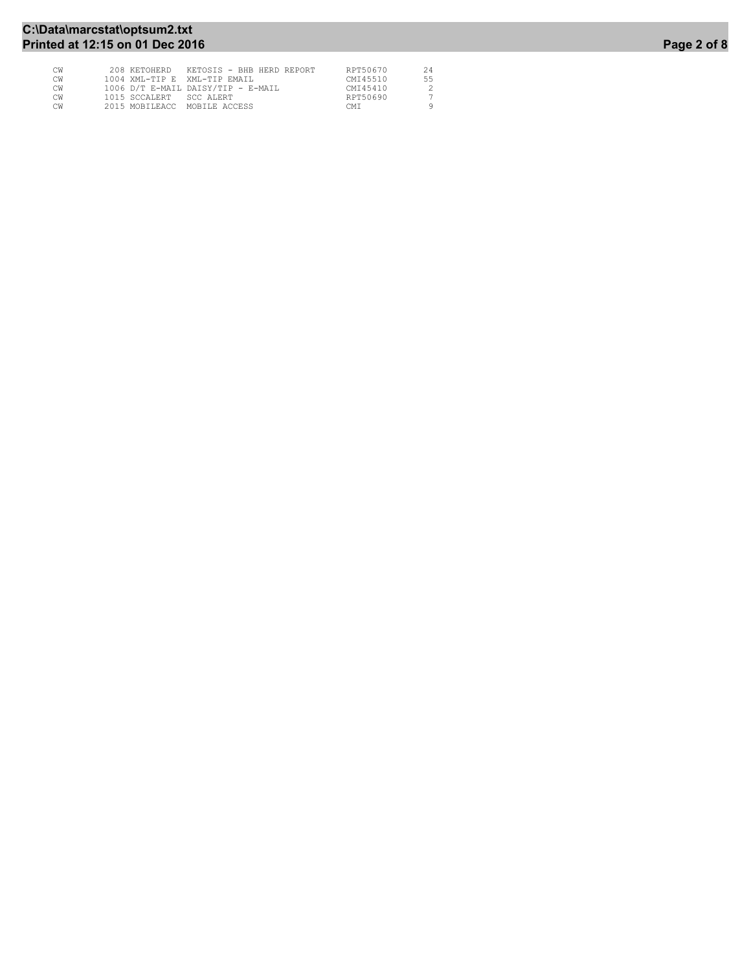## C:\Data\marcstat\optsum2.txt Printed at 12:15 on 01 Dec 2016 **Page 2 of 8** Page 2 of 8

| СW | 208 KETOHERD<br>KETOSIS - BHB HERD REPORT | RPT50670 | 24 |
|----|-------------------------------------------|----------|----|
| СW | 1004 XML-TIP E XML-TIP EMAIL              | CMT45510 | 55 |
| СW | 1006 D/T E-MAIL DAISY/TIP - E-MAIL        | CMT45410 |    |
| СW | 1015 SCCALERT SCC ALERT                   | RPT50690 |    |
| СW | 2015 MOBILEACC<br>MOBILE ACCESS           | CMT      |    |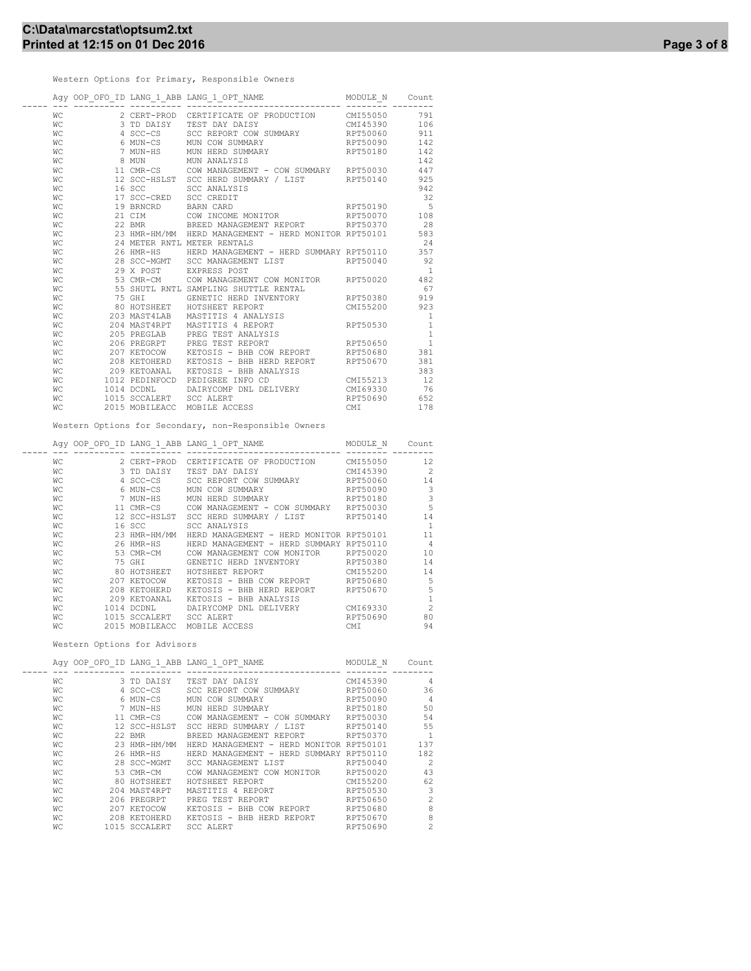Western Options for Primary, Responsible Owners

|           |                         | $\verb Agy OOP_OFOID LANG_1_ABB LANG_1_OPT_NAME   \hspace*{2.5cm} \verb MODULE_N   \hspace*{2.5cm} \verb Count   \hspace*{2.5cm} \verb Count   \hspace*{2.5cm}$ |          |                |
|-----------|-------------------------|-----------------------------------------------------------------------------------------------------------------------------------------------------------------|----------|----------------|
| WС        |                         | 2 CERT-PROD CERTIFICATE OF PRODUCTION CMI55050                                                                                                                  |          | 791            |
| WС        | 3 TD DAISY              | TEST DAY DAISY                                                                                                                                                  | CMI45390 | 106            |
| WС        |                         | 4 SCC-CS SCC REPORT COW SUMMARY RPT50060                                                                                                                        |          | 911            |
| WС        |                         | 6 MUN-CS MUN COW SUMMARY 6 RPT50090                                                                                                                             |          | 142            |
| WС        |                         | 7 MUN-HS MUN HERD SUMMARY                                                                                                                                       | RPT50180 | 142            |
| WС        |                         | 8 MUN MUN ANALYSIS                                                                                                                                              |          | 142            |
| WС        |                         | 11 CMR-CS COW MANAGEMENT - COW SUMMARY RPT50030 447                                                                                                             |          |                |
| WС        |                         | 12 SCC-HSLST SCC HERD SUMMARY / LIST RPT50140 925                                                                                                               |          |                |
| WС        |                         | 16 SCC SCC ANALYSIS                                                                                                                                             |          | 942            |
| WС        | 17 SCC-CRED SCC CREDIT  |                                                                                                                                                                 |          | 32             |
| WС        | 19 BRNCRD BARN CARD     | RPT50190                                                                                                                                                        |          | $-5$           |
| WС        |                         | 21 CIM COW INCOME MONITOR                                                                                                                                       | RPT50070 | 108            |
| WС        |                         | 22 BMR BREED MANAGEMENT REPORT RPT50370                                                                                                                         |          | 28             |
| WС        |                         | 23 HMR-HM/MM HERD MANAGEMENT - HERD MONITOR RPT50101 583                                                                                                        |          |                |
| WС        |                         | 24 METER RNTL METER RENTALS                                                                                                                                     |          | 24             |
| WС        |                         | 26 HMR-HS     HERD MANAGEMENT - HERD SUMMARY RPT50110     357                                                                                                   |          |                |
| WС        |                         | 28 SCC-MGMT SCC MANAGEMENT LIST 6 RPT50040 92                                                                                                                   |          |                |
| WС        |                         | 29 X POST EXPRESS POST                                                                                                                                          |          | $\overline{1}$ |
| WС        |                         | 53 CMR-CM COW MANAGEMENT COW MONITOR RPT50020 482                                                                                                               |          |                |
| WС        |                         | 55 SHUTL RNTL SAMPLING SHUTTLE RENTAL                                                                                                                           |          | 67             |
| WС        |                         | TO GENETIC HERD INVENTORY<br>TO HI GENETIC HERD INVENTORY<br>203 MAST4LAB MASTITIS 4 ANALYSIS                                                                   |          | 919            |
| WС        |                         |                                                                                                                                                                 |          | 923            |
| WС        |                         |                                                                                                                                                                 |          | $\mathbf{1}$   |
| WС        |                         | 204 MAST4RPT MASTITIS 4 REPORT                                                                                                                                  | RPT50530 | $\mathbf{1}$   |
| WС        |                         | 205 PREGLAB PREG TEST ANALYSIS                                                                                                                                  |          | $\mathbf{1}$   |
| WС        |                         | 206 PREGRPT PREG TEST REPORT                                                                                                                                    | RPT50650 | $\overline{1}$ |
| WС        |                         | 207 KETOCOW       KETOSIS  – BHB COW REPORT             RPT50680                                                                                                |          | 381            |
| WС        |                         | 208 KETOHERD    KETOSIS – BHB HERD REPORT        RPT50670                                                                                                       |          | 381            |
| WC        |                         | 209 KETOANAL KETOSIS - BHB ANALYSIS                                                                                                                             |          | 383            |
| WC        |                         | 1012 PEDINFOCD PEDIGREE INFO CD                                                                                                                                 | CMI55213 | 12             |
| <b>WC</b> |                         | 1014 DCDNL DAIRYCOMP DNL DELIVERY CMI69330                                                                                                                      |          | 76             |
| WС        | 1015 SCCALERT SCC ALERT |                                                                                                                                                                 | RPT50690 | 652            |
| WС        |                         | 2015 MOBILEACC MOBILE ACCESS                                                                                                                                    | CMI      | 178            |

Western Options for Secondary, non-Responsible Owners

|    |                | Agy OOP OFO ID LANG 1 ABB LANG 1 OPT NAME | MODULE N | Count                      |
|----|----------------|-------------------------------------------|----------|----------------------------|
|    |                |                                           |          |                            |
| WС | 2 CERT-PROD    | CERTIFICATE OF PRODUCTION                 | CMI55050 | 12                         |
| WС | 3 TD DAISY     | CMI45390<br>TEST DAY DAISY                |          | $\overline{\phantom{0}}$ 2 |
| WС | 4 SCC-CS       | SCC REPORT COW SUMMARY RPT50060           |          | 14                         |
| WС | 6 MUN-CS       | MUN COW SUMMARY                           | RPT50090 | 3                          |
| WС | 7 MUN-HS       | MUN HERD SUMMARY                          | RPT50180 | 3                          |
| WС | 11 CMR-CS      | COW MANAGEMENT - COW SUMMARY              | RPT50030 | 5                          |
| WС | 12 SCC-HSLST   | SCC HERD SUMMARY / LIST RPT50140          |          | 14                         |
| WС | 16 SCC         | SCC ANALYSIS                              |          | $\overline{1}$             |
| WС | 23 HMR-HM/MM   | HERD MANAGEMENT - HERD MONITOR RPT50101   |          | 11                         |
| WС | 26 HMR-HS      | HERD MANAGEMENT - HERD SUMMARY RPT50110   |          | $\overline{4}$             |
| WС | 53 CMR-CM      | COW MANAGEMENT COW MONITOR RPT50020       |          | 10                         |
| WС | 75 GHI         | GENETIC HERD INVENTORY                    | RPT50380 | 14                         |
| WС | 80 HOTSHEET    | CMI55200<br>HOTSHEET REPORT               |          | 14                         |
| WС | 207 KETOCOW    | KETOSIS - BHB COW REPORT                  | RPT50680 | 5                          |
| WС | 208 KETOHERD   | KETOSIS - BHB HERD REPORT                 | RPT50670 | 5                          |
| WС | 209 KETOANAL   | KETOSIS - BHB ANALYSIS                    |          | 1                          |
| WС | 1014 DCDNL     | DAIRYCOMP DNL DELIVERY                    | CMI69330 | $\overline{c}$             |
| WС | 1015 SCCALERT  | <b>SCC ALERT</b>                          | RPT50690 | 80                         |
| WС | 2015 MOBILEACC | MOBILE ACCESS                             | CMI      | 94                         |
|    |                |                                           |          |                            |

Western Options for Advisors

|    |      |              | Agy OOP OFO ID LANG 1 ABB LANG 1 OPT NAME   | MODULE N         | Count          |
|----|------|--------------|---------------------------------------------|------------------|----------------|
| WС | 3.   | TD DAISY     | TEST DAY DAISY                              | CMI45390         | 4              |
| WС |      | 4 SCC-CS     | SCC<br>REPORT COW SUMMARY                   | RPT50060         | 36             |
| WС |      | 6 MUN-CS     | COW SUMMARY<br>MUN                          | RPT50090         | $\overline{4}$ |
| WС |      | 7 MUN-HS     | <b>MUN</b><br>HERD SUMMARY                  | RPT50180         | 50             |
| WС |      | 11 CMR-CS    | COW MANAGEMENT -<br>COW SUMMARY             | RPT50030         | 54             |
| WС |      | 12 SCC-HSLST | SCC HERD SUMMARY / LIST                     | RPT50140         | 55             |
| WС |      | 22 BMR       | BREED MANAGEMENT REPORT                     | RPT50370         | $\mathbf{1}$   |
| WС |      | 23 HMR-HM/MM | HERD MANAGEMENT<br>HERD<br>$\hspace{0.1mm}$ | MONITOR RPT50101 | 137            |
| WС | 26   | HMR-HS       | HERD<br>HERD MANAGEMENT -                   | SUMMARY RPT50110 | 182            |
| WС | 2.8  | SCC-MGMT     | SCC MANAGEMENT LIST                         | RPT50040         | $\mathfrak{D}$ |
| WС | 53   | $CMR-CM$     | COW MANAGEMENT COW MONITOR                  | RPT50020         | 43             |
| WС | 80   | HOTSHEET     | HOTSHEET REPORT                             | CMT55200         | 62             |
| WС | 204  | MAST4RPT     | MASTITIS<br>4 REPORT                        | RPT50530         | 3              |
| WС | 206  | PREGRPT      | PREG TEST REPORT                            | RPT50650         | 2              |
| WС |      | 207 KETOCOW  | KETOSIS<br><b>BHB</b><br>COW REPORT         | RPT50680         | 8              |
| WС | 208  | KETOHERD     | <b>BHB</b><br>KETOSIS -<br>HERD REPORT      | RPT50670         | 8              |
| WС | 1015 | SCCALERT     | SCC ALERT                                   | RPT50690         | $\overline{c}$ |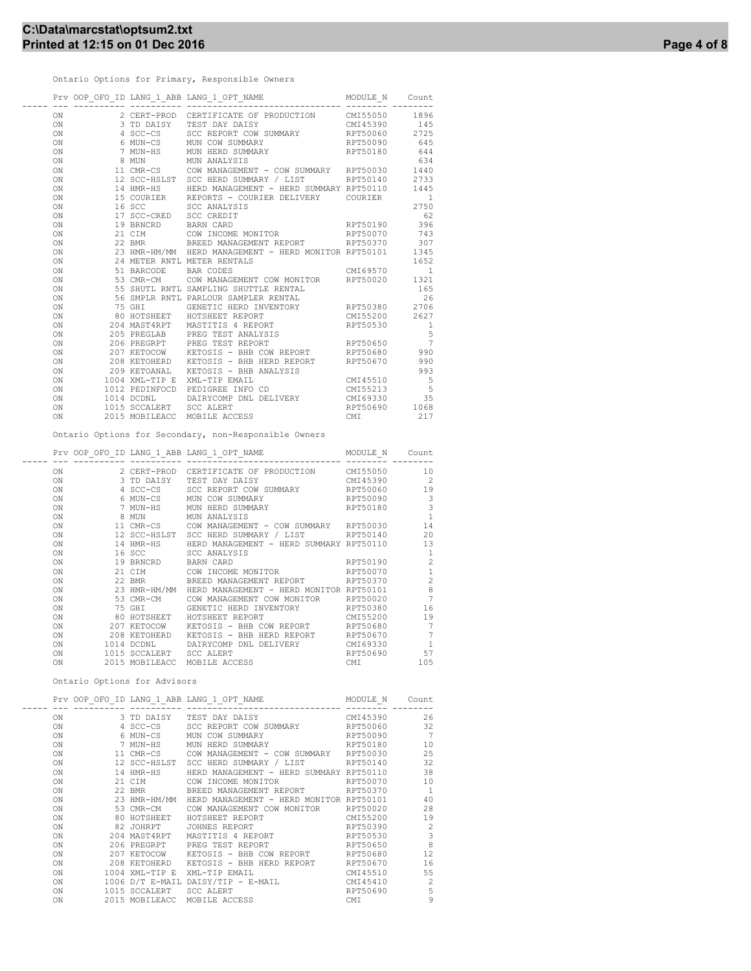Ontario Options for Primary, Responsible Owners

|                            |                      |                                                                                                                                                                                                                                          | Count             |
|----------------------------|----------------------|------------------------------------------------------------------------------------------------------------------------------------------------------------------------------------------------------------------------------------------|-------------------|
| ON                         |                      | 2 CERT-PROD CERTIFICATE OF PRODUCTION CM155050 1896<br>3 TD DAISY TEST DAY DAISY CM145390 145<br>4 SCC-CS SCC REPORT COW SUMMARY RPT50060 2725<br>6 MUN-CS MUN COW SUMMARY RPT50060 645<br>7 MUN-HS MUN HARD SUMMARY RPT50180 645<br>7 M |                   |
| ON                         |                      |                                                                                                                                                                                                                                          |                   |
| ON                         |                      |                                                                                                                                                                                                                                          |                   |
| ON                         |                      |                                                                                                                                                                                                                                          |                   |
| ON                         |                      |                                                                                                                                                                                                                                          |                   |
| ON                         |                      |                                                                                                                                                                                                                                          |                   |
| ON                         |                      |                                                                                                                                                                                                                                          |                   |
| ON                         |                      |                                                                                                                                                                                                                                          |                   |
| ON                         |                      |                                                                                                                                                                                                                                          |                   |
| ON                         |                      | 15 COURIER REPORTS - COURIER DELIVERY COURIER                                                                                                                                                                                            | $\qquad \qquad 1$ |
| ON                         |                      | 16 SCC SCC ANALYSIS<br>17 SCC-CRED SCC CREDIT                                                                                                                                                                                            | 2750              |
| ON                         |                      |                                                                                                                                                                                                                                          | 62                |
| ON                         |                      |                                                                                                                                                                                                                                          |                   |
| ON                         |                      | 19 BRNCRD BARN CARD RPT50190 396<br>21 CIM COW INCOME MONITOR RPT50070 743<br>22 BMR BREED MANAGEMENT REPORT RPT50370 307<br>23 HMR-HM/MM HERD MANAGEMENT - HERD MONITOR RPT50101 1345                                                   |                   |
| ON                         |                      |                                                                                                                                                                                                                                          |                   |
| ON                         |                      |                                                                                                                                                                                                                                          |                   |
| ON                         |                      | 24 METER RNTL METER RENTALS                                                                                                                                                                                                              | 1652              |
| ON                         | 51 BARCODE BAR CODES | CMI69570 1                                                                                                                                                                                                                               |                   |
| ON                         |                      | 53 CMR-CM COW MANAGEMENT COW MONITOR RPT50020 1321                                                                                                                                                                                       |                   |
|                            |                      |                                                                                                                                                                                                                                          |                   |
|                            |                      |                                                                                                                                                                                                                                          |                   |
|                            |                      |                                                                                                                                                                                                                                          |                   |
|                            |                      |                                                                                                                                                                                                                                          |                   |
|                            |                      |                                                                                                                                                                                                                                          |                   |
|                            |                      |                                                                                                                                                                                                                                          |                   |
|                            |                      |                                                                                                                                                                                                                                          | $\frac{5}{7}$     |
|                            |                      |                                                                                                                                                                                                                                          |                   |
|                            |                      |                                                                                                                                                                                                                                          |                   |
|                            |                      | ON 205 PREGLAB PREG TEST ANALYSIS AT A CONSUMER PREG TEST ANALYSIS S<br>205 PREGLAB PREG TEST REPORT RPT50650 7<br>207 KETOCOW KETOSIS – BHB COW REPORT RPT50680 990<br>208 KETOHARL KETOSIS – BHB HRAD REPORT RPT50670 990<br>209 KET   |                   |
|                            |                      |                                                                                                                                                                                                                                          |                   |
|                            |                      |                                                                                                                                                                                                                                          |                   |
|                            |                      | ON 1014 DCDNL DAIRYCOMP DNL DELIVERY CMI69330 35                                                                                                                                                                                         |                   |
| ON 1015 SCCALERT SCC ALERT |                      |                                                                                                                                                                                                                                          |                   |
| ON                         |                      | 35<br>RPT50690 1068<br>CMT 210<br>2015 MOBILEACC MOBILE ACCESS                                                                                                                                                                           |                   |
|                            |                      | Ontario Options for Secondary, non-Responsible Owners                                                                                                                                                                                    |                   |
|                            |                      | NAME MODULE_N Count<br>Prv OOP OFO ID LANG 1 ABB LANG 1 OPT NAME                                                                                                                                                                         |                   |

|    |                | FIV OOF OFO ID LANG I ABB LANG I OFT NAME | MODULE N | count          |
|----|----------------|-------------------------------------------|----------|----------------|
| ON | 2 CERT-PROD    | CERTIFICATE OF PRODUCTION                 | CMI55050 | 10             |
| ON | 3 TD DAISY     | TEST DAY DAISY                            | CMT45390 | $\overline{2}$ |
| ON | 4 SCC-CS       | SCC REPORT COW SUMMARY                    | RPT50060 | 19             |
| ON | 6 MUN-CS       | MUN COW SUMMARY                           | RPT50090 | 3              |
| ON | 7 MUN-HS       | MUN HERD SUMMARY                          | RPT50180 | 3              |
| ON | 8 MUN          | MUN ANALYSIS                              |          | $\mathbf{1}$   |
| ON | 11 CMR-CS      | COW MANAGEMENT - COW SUMMARY              | RPT50030 | 14             |
| ON | 12 SCC-HSLST   | SCC HERD SUMMARY / LIST                   | RPT50140 | 20             |
| ON | 14 HMR-HS      | HERD MANAGEMENT - HERD SUMMARY RPT50110   |          | 13             |
| ON | 16 SCC         | SCC ANALYSIS                              |          | $\mathbf{1}$   |
| ON | 19 BRNCRD      | <b>BARN CARD</b>                          | RPT50190 | $\overline{c}$ |
|    |                |                                           |          | $\mathbf{1}$   |
| ON | 21 CIM         | COW INCOME MONITOR                        | RPT50070 |                |
| ON | 22 BMR         | BREED MANAGEMENT REPORT                   | RPT50370 | $\overline{c}$ |
| ON | 23 HMR-HM/MM   | HERD MANAGEMENT - HERD MONITOR RPT50101   |          | 8              |
| ON | 53 CMR-CM      | COW MANAGEMENT COW MONITOR                | RPT50020 | $\overline{7}$ |
| ON | 75 GHI         | GENETIC HERD INVENTORY                    | RPT50380 | 16             |
| ON | 80 HOTSHEET    | HOTSHEET REPORT                           | CMI55200 | 19             |
| ON | 207 KETOCOW    | KETOSIS -<br>BHB COW REPORT               | RPT50680 | 7              |
| ON | 208 KETOHERD   | KETOSIS - BHB HERD REPORT                 | RPT50670 | 7              |
| ON | 1014 DCDNL     | DAIRYCOMP DNL DELIVERY                    | CMI69330 | $\mathbf{1}$   |
| ON | 1015 SCCALERT  | <b>SCC ALERT</b>                          | RPT50690 | 57             |
| ON | 2015 MOBILEACC | MOBILE ACCESS                             | CMI      | 105            |
|    |                |                                           |          |                |

Ontario Options for Advisors

|     |                         | Prv OOP OFO ID LANG_1_ABB LANG_1_OPT_NAME                | MODULE N | Count          |
|-----|-------------------------|----------------------------------------------------------|----------|----------------|
|     |                         |                                                          |          |                |
| ON  |                         | 3 TD DAISY TEST DAY DAISY                                | CMI45390 | 26             |
| ON  |                         | 4 SCC-CS SCC REPORT COW SUMMARY RPT50060                 |          | 32             |
| ON  |                         | 6 MUN-CS MUN COW SUMMARY                                 | RPT50090 | $\overline{7}$ |
| ON  |                         | 7 MUN-HS MUN HERD SUMMARY RPT50180                       |          | 10             |
| ON  |                         | 11 CMR-CS COW MANAGEMENT - COW SUMMARY RPT50030          |          | 25             |
| ON  |                         | 12 SCC-HSLST SCC HERD SUMMARY / LIST RPT50140            |          | 32             |
| ON  |                         | 14 HMR-HS      HERD MANAGEMENT - HERD SUMMARY RPT50110   |          | 38             |
| ON  |                         | 21 CIM COW INCOME MONITOR RPT50070                       |          | 10             |
| ON  |                         | 22 BMR BREED MANAGEMENT REPORT RPT50370                  |          | $\overline{1}$ |
| ON  |                         | 23 HMR-HM/MM HERD MANAGEMENT - HERD MONITOR RPT50101     |          | 40             |
| ON  |                         | 53 CMR-CM COW MANAGEMENT COW MONITOR                     | RPT50020 | 28             |
| ON  |                         | 80 HOTSHEET HOTSHEET REPORT CMI55200                     |          | 19             |
| ON  |                         | 82 JOHRPT JOHNES REPORT                                  | RPT50390 | $\sim$ 2       |
| ON  |                         | 204 MAST4RPT - MASTITIS 4 REPORT                         | RPT50530 | $\overline{3}$ |
| ON  |                         | 206 PREGRPT PREG TEST REPORT                             | RPT50650 | 8              |
| ON  |                         | 207 KETOCOW KETOSIS - BHB COW REPORT                     | RPT50680 | 12             |
| ON  |                         | 208 KETOHERD    KETOSIS – BHB HERD REPORT       RPT50670 |          | 16             |
| ON  |                         | CMI45510<br>1004 XML-TIP E XML-TIP EMAIL                 |          | 55             |
| ON  |                         | $1006$ D/T E-MAIL DAISY/TIP - E-MAIL $CMI45410$          |          | $\overline{c}$ |
| ON. | 1015 SCCALERT SCC ALERT |                                                          | RPT50690 | 5              |
| ON  |                         | 2015 MOBILEACC MOBILE ACCESS                             | CMI      | 9              |
|     |                         |                                                          |          |                |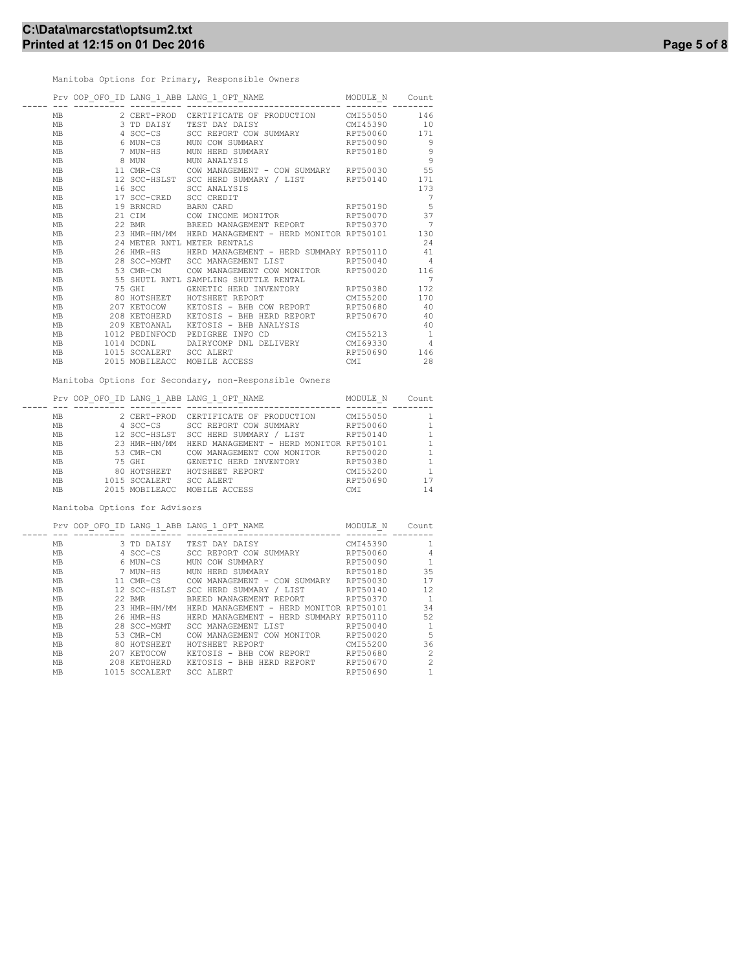Manitoba Options for Primary, Responsible Owners

|           |                         | Prv OOP_OFO_ID LANG_1_ABB LANG_1_OPT_NAME MODULE_N          |             | Count          |
|-----------|-------------------------|-------------------------------------------------------------|-------------|----------------|
| <b>MB</b> | 2 CERT-PROD             | CERTIFICATE OF PRODUCTION CMI55050                          |             | 146            |
| <b>MB</b> | 3 TD DAISY              | TEST DAY DAISY                                              | CMI45390 10 |                |
| MB        | 4 SCC-CS                | SCC REPORT COW SUMMARY RPT50060                             |             | 171            |
| <b>MB</b> | 6 MUN-CS                | RPT50090<br>MUN COW SUMMARY                                 |             | 9              |
| <b>MB</b> |                         | 7 MUN-HS MUN HERD SUMMARY                                   | RPT50180    | 9              |
| <b>MB</b> |                         | 8 MUN MUN ANALYSIS                                          |             | $\overline{9}$ |
| <b>MB</b> |                         | 11 CMR-CS COW MANAGEMENT - COW SUMMARY RPT50030             |             | 55             |
| <b>MB</b> |                         | 12 SCC-HSLST SCC HERD SUMMARY / LIST RPT50140               |             | 171            |
| <b>MB</b> | 16 SCC 200              | SCC ANALYSTS                                                |             | 173            |
| MB        | 17 SCC-CRED SCC CREDIT  |                                                             |             | 7              |
| <b>MB</b> | 19 BRNCRD BARN CARD     |                                                             | RPT50190    | 5              |
| <b>MB</b> |                         | 21 CIM COW INCOME MONITOR                                   | RPT50070    | 37             |
| <b>MB</b> |                         |                                                             |             | - 7            |
| <b>MB</b> |                         | 23 HMR-HM/MM   HERD MANAGEMENT – HERD MONITOR RPT50101      |             | 130            |
| <b>MB</b> |                         | 24 METER RNTL METER RENTALS                                 |             | 24             |
| <b>MB</b> |                         | 26 HMR-HS HERD MANAGEMENT - HERD SUMMARY RPT50110 41        |             |                |
| <b>MB</b> |                         | 28 SCC-MGMT SCC MANAGEMENT LIST RPT50040                    |             | $\overline{4}$ |
| <b>MB</b> | 53 CMR-CM               | COW MANAGEMENT COW MONITOR RPT50020                         |             | 116            |
| <b>MB</b> |                         | 55 SHUTL RNTL SAMPLING SHUTTLE RENTAL                       |             | 7              |
| MB        | 75 GHI                  | GENETIC HERD INVENTORY RPT50380                             |             | 172            |
| <b>MB</b> |                         | 80 HOTSHEET HOTSHEET REPORT                                 | CMT55200    | 170            |
| MB        |                         | 207 KETOCOW     KETOSIS – BHB COW REPORT           RPT50680 |             | 40             |
| <b>MB</b> |                         | 208 KETOHERD KETOSIS - BHB HERD REPORT RPT50670             |             | 40             |
| MB        | 209 KETOANAL            | KETOSIS - BHB ANALYSIS                                      |             | 40             |
| <b>MB</b> |                         | 1012 PEDINFOCD PEDIGREE INFO CD                             | CMT55213    | <sup>1</sup>   |
| <b>MB</b> | 1014 DCDNL              | DAIRYCOMP DNL DELIVERY CMI69330                             |             | $\overline{4}$ |
| MB        | 1015 SCCALERT SCC ALERT |                                                             | RPT50690    | 146            |
| <b>MB</b> |                         | 2015 MOBILEACC MOBILE ACCESS                                | CMI         | 28             |

Manitoba Options for Secondary, non-Responsible Owners

|           | Prv OOP OFO |                | ID LANG 1 ABB LANG 1 OPT NAME           | MODULE N   | Count |
|-----------|-------------|----------------|-----------------------------------------|------------|-------|
|           |             |                |                                         |            |       |
| МB        |             | 2 CERT-PROD    | CERTIFICATE OF PRODUCTION               | CMI55050   |       |
| <b>MB</b> |             | 4 SCC-CS       | SCC REPORT COW SUMMARY                  | RPT50060   |       |
| <b>MB</b> |             | 12 SCC-HSLST   | SCC HERD SUMMARY / LIST                 | RPT50140   |       |
| MB        |             | 23 HMR-HM/MM   | HERD MANAGEMENT - HERD MONITOR RPT50101 |            |       |
| <b>MB</b> |             | 53 CMR-CM      | COW MANAGEMENT COW MONITOR              | RPT50020   |       |
| <b>MB</b> |             | 75 GHT         | GENETIC HERD INVENTORY                  | RPT50380   |       |
| <b>MB</b> |             | 80 HOTSHEET    | HOTSHEET REPORT                         | CMI55200   |       |
| <b>MB</b> |             | 1015 SCCALERT  | SCC ALERT                               | RPT50690   |       |
| <b>MB</b> |             | 2015 MOBILEACC | MOBILE ACCESS                           | <b>CMT</b> | 14    |

Manitoba Options for Advisors

|           |               | Prv OOP OFO ID LANG 1 ABB LANG 1 OPT NAME | MODULE N | Count          |
|-----------|---------------|-------------------------------------------|----------|----------------|
|           |               |                                           |          |                |
| MB        | 3 TD DAISY    | TEST DAY DAISY                            | CMI45390 | 1              |
| MB        | 4 SCC-CS      | SCC REPORT COW SUMMARY                    | RPT50060 | 4              |
| MB        | 6 MUN-CS      | MUN COW SUMMARY                           | RPT50090 | 1              |
| MB        | 7 MUN-HS      | MUN HERD SUMMARY                          | RPT50180 | 35             |
| MB        | 11 CMR-CS     | COW MANAGEMENT - COW SUMMARY              | RPT50030 | 17             |
| MB        | 12 SCC-HSLST  | SCC HERD SUMMARY / LIST                   | RPT50140 | 12             |
| MB        | 22 BMR        | BREED MANAGEMENT REPORT                   | RPT50370 | $\overline{1}$ |
| MB        | 23 HMR-HM/MM  | HERD MANAGEMENT - HERD MONITOR RPT50101   |          | 34             |
| MB        | 26 HMR-HS     | HERD MANAGEMENT - HERD SUMMARY RPT50110   |          | 52             |
| MB        | 28 SCC-MGMT   | SCC MANAGEMENT LIST                       | RPT50040 | $\mathbf{1}$   |
| MB        | 53 CMR-CM     | COW MANAGEMENT COW MONITOR                | RPT50020 | 5              |
| МB        | 80 HOTSHEET   | HOTSHEET REPORT                           | CMT55200 | 36             |
| MB        | 207 KETOCOW   | KETOSIS - BHB COW REPORT                  | RPT50680 | $\overline{2}$ |
| MB        | 208 KETOHERD  | KETOSIS - BHB HERD REPORT                 | RPT50670 | $\overline{c}$ |
| <b>MB</b> | 1015 SCCALERT | SCC ALERT                                 | RPT50690 | $\mathbf{1}$   |
|           |               |                                           |          |                |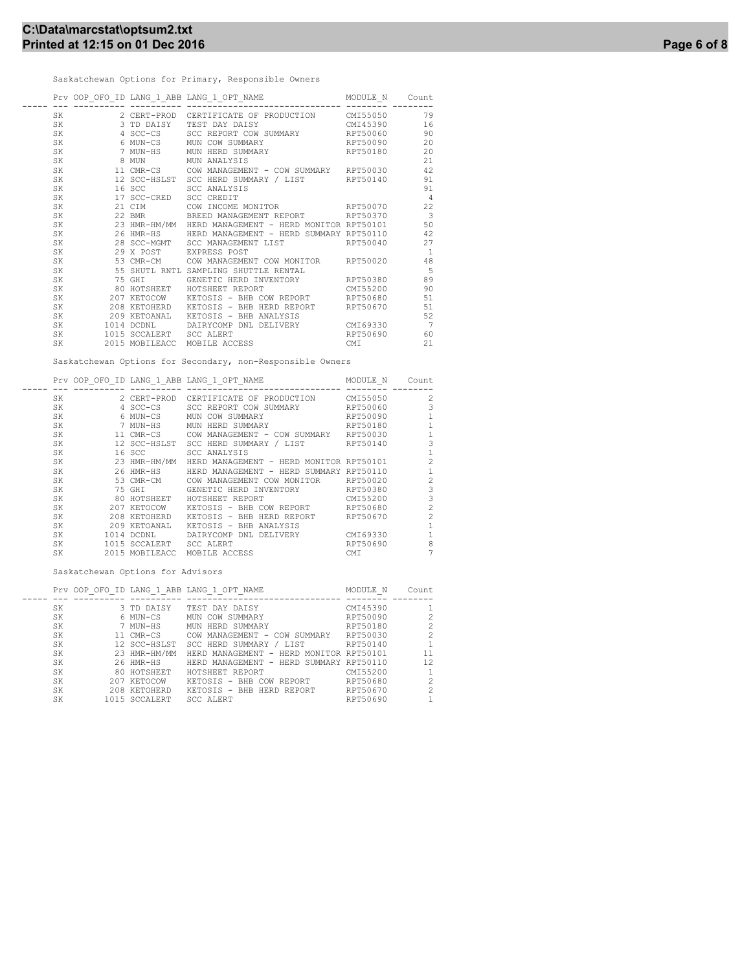Saskatchewan Options for Primary, Responsible Owners

|     |                         | Prv OOP OFO ID LANG 1 ABB LANG 1 OPT NAME                 | MODULE N Count |                         |
|-----|-------------------------|-----------------------------------------------------------|----------------|-------------------------|
| SK  |                         | 2 CERT-PROD CERTIFICATE OF PRODUCTION CMI55050            |                | 79                      |
| SK  | 3 TD DAISY              | CMI45390<br>TEST DAY DAISY                                |                | 16                      |
| SK  |                         | 4 SCC-CS SCC REPORT COW SUMMARY RPT50060                  |                | 90                      |
| SK  |                         | RPT50090<br>6 MUN-CS MUN COW SUMMARY                      |                | 20                      |
| SK  |                         | 7 MUN-HS MUN HERD SUMMARY                                 | RPT50180       | 20                      |
| SK  |                         | 8 MUN MUN ANALYSIS                                        |                | 21                      |
| SK  |                         | 11 CMR-CS COW MANAGEMENT - COW SUMMARY RPT50030           |                | 42                      |
| SK. |                         | 12 SCC-HSLST SCC HERD SUMMARY / LIST RPT50140             |                | 91                      |
| SK  |                         | 16 SCC SCC ANALYSIS                                       |                | 91                      |
| SK. | 17 SCC-CRED SCC CREDIT  |                                                           |                | $\overline{4}$          |
| SK. |                         | 21 CIM COW INCOME MONITOR RPT50070                        |                | 22                      |
| SK. |                         | 22 BMR     BREED MANAGEMENT REPORT     RPT50370           |                | $\overline{\mathbf{3}}$ |
| SK  |                         | 23 HMR-HM/MM HERD MANAGEMENT - HERD MONITOR RPT50101      |                | 50                      |
| SK  |                         | 26 HMR-HS       HERD MANAGEMENT – HERD SUMMARY RPT50110   |                | 42                      |
| SK  |                         | 28 SCC-MGMT SCC MANAGEMENT LIST RPT50040                  |                | 27                      |
| SK. |                         | 29 X POST EXPRESS POST                                    |                | -1                      |
| SK. |                         | 53 CMR-CM COW MANAGEMENT COW MONITOR RPT50020             |                | 48                      |
| SK. |                         | 55 SHUTL RNTL SAMPLING SHUTTLE RENTAL                     |                | 5                       |
| SK  |                         |                                                           |                | 89                      |
| SK  |                         | 80 HOTSHEET HOTSHEET REPORT                               | CMI55200       | 90                      |
| SK. |                         | 207 KETOCOW     KETOSIS - BHB COW REPORT         RPT50680 |                | 51                      |
| SK  |                         | 208 KETOHERD KETOSIS - BHB HERD REPORT RPT50670           |                | 51                      |
| SK  |                         | 209 KETOANAL   KETOSIS - BHB ANALYSIS                     |                | 52                      |
|     |                         | SK 1014 DCDNL DAIRYCOMP DNL DELIVERY CMI69330             |                | 7                       |
| SK  | 1015 SCCALERT SCC ALERT |                                                           | RPT50690       | 60                      |
| SK  |                         | 2015 MOBILEACC MOBILE ACCESS                              | CMI            | 21                      |
|     |                         |                                                           |                |                         |

Saskatchewan Options for Secondary, non-Responsible Owners

|     |                | Prv OOP OFO ID LANG 1 ABB LANG 1 OPT NAME | MODULE N | Count          |
|-----|----------------|-------------------------------------------|----------|----------------|
| SK. | 2 CERT-PROD    | CERTIFICATE OF PRODUCTION                 | CMI55050 | 2              |
| SK  | 4 SCC-CS       | SCC REPORT COW SUMMARY                    | RPT50060 | 3              |
|     |                |                                           |          |                |
| SK  | 6 MUN-CS       | MUN COW SUMMARY                           | RPT50090 |                |
| SK  | 7 MUN-HS       | MUN HERD SUMMARY                          | RPT50180 | $\mathbf{1}$   |
| SK  | 11 CMR-CS      | COW MANAGEMENT - COW SUMMARY              | RPT50030 |                |
| SK  | 12 SCC-HSLST   | SCC HERD SUMMARY / LIST                   | RPT50140 | 3              |
| SK  | 16 SCC         | SCC ANALYSIS                              |          |                |
| SK  | 23 HMR-HM/MM   | HERD MANAGEMENT - HERD MONITOR RPT50101   |          | 2              |
| SK  | 26 HMR-HS      | HERD MANAGEMENT - HERD SUMMARY RPT50110   |          |                |
| SK  | 53 CMR-CM      | COW MANAGEMENT COW MONITOR                | RPT50020 | $\overline{c}$ |
| SK  | 75 GHI         | GENETIC HERD INVENTORY                    | RPT50380 | 3              |
| SK  | 80 HOTSHEET    | HOTSHEET REPORT                           | CMI55200 | 3              |
| SK  | 207 KETOCOW    | KETOSIS - BHB COW REPORT                  | RPT50680 | $\overline{c}$ |
| SK  | 208 KETOHERD   | KETOSIS - BHB HERD REPORT                 | RPT50670 | $\mathfrak{D}$ |
| SK  | 209 KETOANAL   | KETOSIS - BHB ANALYSIS                    |          |                |
| SK  | 1014 DCDNL     | DATRYCOMP DNL DELIVERY                    | CMI69330 |                |
| SK  | 1015 SCCALERT  | <b>SCC ALERT</b>                          | RPT50690 | 8              |
| SK  | 2015 MOBILEACC | MOBILE ACCESS                             | CMI      |                |
|     |                |                                           |          |                |

Saskatchewan Options for Advisors

| Prv OOP<br>OFO |               | ID LANG 1 ABB LANG 1 OPT NAME           | MODULE N | Count |
|----------------|---------------|-----------------------------------------|----------|-------|
|                |               |                                         |          |       |
| SK             | 3 TD DAISY    | TEST DAY DAISY                          | CMI45390 |       |
| SK.            | 6 MUN-CS      | MUN COW SUMMARY                         | RPT50090 | 2     |
| SK.            | 7 MUN-HS      | MUN HERD SUMMARY                        | RPT50180 | 2     |
| SK             | 11 CMR-CS     | COW MANAGEMENT - COW SUMMARY            | RPT50030 | 2     |
| SK.            | 12 SCC-HSLST  | SCC HERD SUMMARY / LIST                 | RPT50140 |       |
| SK             | 23 HMR-HM/MM  | HERD MANAGEMENT - HERD MONITOR RPT50101 |          | 11    |
| SK.            | 26 HMR-HS     | HERD MANAGEMENT - HERD SUMMARY RPT50110 |          | 12    |
| SK.            | 80 HOTSHEET   | HOTSHEET REPORT                         | CMI55200 |       |
| SK             | 207 KETOCOW   | KETOSIS - BHB COW REPORT                | RPT50680 | 2     |
| SK             | 208 KETOHERD  | KETOSIS - BHB HERD REPORT               | RPT50670 | 2     |
| SK             | 1015 SCCALERT | SCC ALERT                               | RPT50690 |       |
|                |               |                                         |          |       |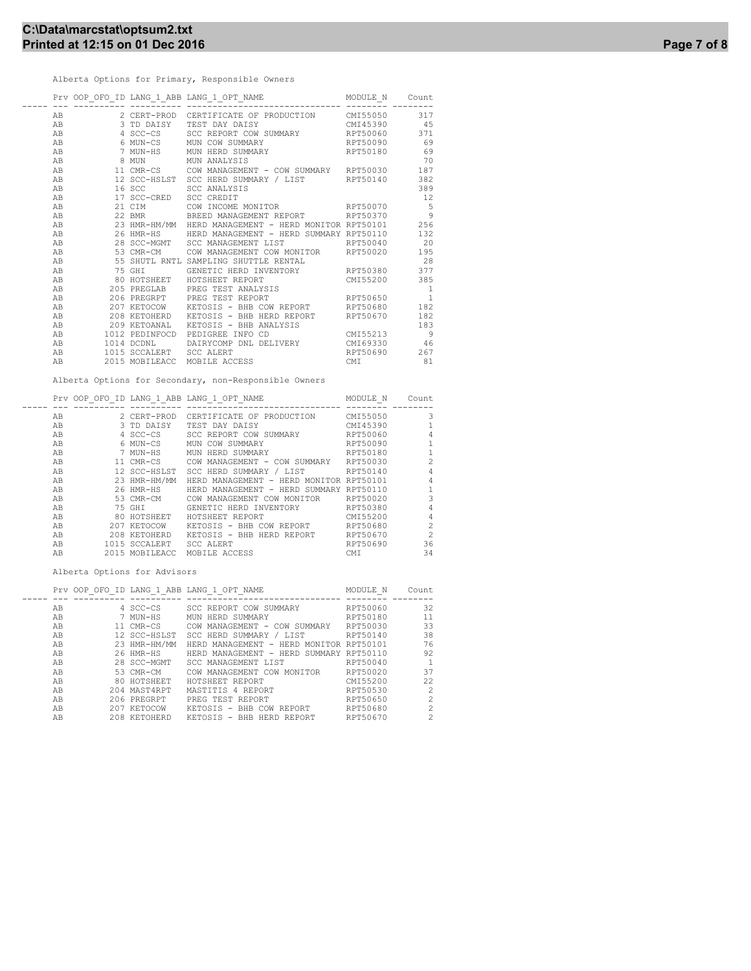Alberta Options for Primary, Responsible Owners

|    |                         | Prv OOP_OFO_ID LANG_1_ABB LANG_1_OPT_NAME MODULE_N               |             | Count                       |
|----|-------------------------|------------------------------------------------------------------|-------------|-----------------------------|
| AB |                         | 2 CERT-PROD CERTIFICATE OF PRODUCTION CMI55050                   |             | 317                         |
| AB | 3 TD DAISY              | TEST DAY DAISY                                                   | CMI45390 45 |                             |
| AB | 4 SCC-CS                | SCC REPORT COW SUMMARY RPT50060                                  |             | 371                         |
| AB |                         | RPT50090<br>6 MUN-CS MUN COW SUMMARY                             |             | 69                          |
| AB |                         | 7 MUN-HS MUN HERD SUMMARY                                        | RPT50180    | 69                          |
| AB |                         | 8 MUN             MUN ANALYSIS                                   |             | 70                          |
| AB |                         | 11 CMR-CS COW MANAGEMENT - COW SUMMARY RPT50030                  |             | 187                         |
| AB |                         | 12 SCC-HSLST SCC HERD SUMMARY / LIST RPT50140                    |             | 382                         |
| AB | 16 SCC 200              | SCC ANALYSIS                                                     |             | 389                         |
| AB | 17 SCC-CRED             | <b>SCC CREDIT</b>                                                |             | 12                          |
| AB |                         | 21 CIM COW INCOME MONITOR RPT50070                               |             | $5^{\circ}$                 |
| AB |                         | 22 BMR BREED MANAGEMENT REPORT RPT50370                          |             | $\overline{9}$              |
| AB |                         | 23 HMR-HM/MM   HERD MANAGEMENT - HERD MONITOR RPT50101           |             | 256                         |
| AB |                         | 26 HMR-HS HERD MANAGEMENT - HERD SUMMARY RPT50110                |             | 132                         |
| AB |                         | RPT50040 20<br>28 SCC-MGMT SCC MANAGEMENT LIST                   |             |                             |
| AB | 53 CMR-CM               | COW MANAGEMENT COW MONITOR RPT50020                              |             | 195                         |
| AB | 55 SHUTL RNTL           | SAMPLING SHUTTLE RENTAL                                          |             | 28                          |
| AB | 75 GHI                  | GENETIC HERD INVENTORY RPT50380                                  |             | 377                         |
| AB |                         | 80 HOTSHEET MOTSHEET REPORT                                      | CMI55200    | 385                         |
| AB |                         | 205 PREGLAB PREG TEST ANALYSIS                                   |             | $\overline{1}$              |
| AB |                         | 206 PREGRPT PREG TEST REPORT                                     | RPT50650    | $\footnotesize\substack{1}$ |
| AB |                         | 207 KETOCOW       KETOSIS  – BHB COW REPORT             RPT50680 |             | 182                         |
| AB |                         | 208 KETOHERD KETOSIS - BHB HERD REPORT RPT50670                  |             | 182                         |
| AB |                         | 209 KETOANAL KETOSIS - BHB ANALYSIS                              |             | 183                         |
| AB |                         | 1012 PEDINFOCD PEDIGREE INFO CD                                  | CMI55213    | - 9                         |
| AB | 1014 DCDNL              | DAIRYCOMP DNL DELIVERY CMI69330 46                               |             |                             |
| AB | 1015 SCCALERT SCC ALERT |                                                                  | RPT50690    | 267                         |
| AB | 2015 MOBILEACC          | MOBILE ACCESS                                                    | CMI         | 81                          |

Alberta Options for Secondary, non-Responsible Owners

|                                                                                              |                                                                                                                                                                                                        | MODULE N                                                                               | Count                                                                                           |
|----------------------------------------------------------------------------------------------|--------------------------------------------------------------------------------------------------------------------------------------------------------------------------------------------------------|----------------------------------------------------------------------------------------|-------------------------------------------------------------------------------------------------|
|                                                                                              |                                                                                                                                                                                                        |                                                                                        |                                                                                                 |
|                                                                                              |                                                                                                                                                                                                        |                                                                                        | 3                                                                                               |
|                                                                                              | TEST DAY DAISY                                                                                                                                                                                         |                                                                                        |                                                                                                 |
|                                                                                              | SCC REPORT COW SUMMARY                                                                                                                                                                                 | RPT50060                                                                               | 4                                                                                               |
|                                                                                              | COW SUMMARY<br>MUN                                                                                                                                                                                     | RPT50090                                                                               |                                                                                                 |
|                                                                                              | MUN HERD SUMMARY                                                                                                                                                                                       | RPT50180                                                                               |                                                                                                 |
|                                                                                              | COW MANAGEMENT - COW SUMMARY                                                                                                                                                                           | RPT50030                                                                               | $\mathfrak{D}$                                                                                  |
|                                                                                              | SCC HERD SUMMARY / LIST                                                                                                                                                                                | RPT50140                                                                               | 4                                                                                               |
|                                                                                              |                                                                                                                                                                                                        |                                                                                        | 4                                                                                               |
|                                                                                              | HERD<br>HERD MANAGEMENT -                                                                                                                                                                              |                                                                                        | 1                                                                                               |
|                                                                                              | COW MANAGEMENT COW MONITOR                                                                                                                                                                             |                                                                                        | 3                                                                                               |
|                                                                                              | GENETIC HERD INVENTORY                                                                                                                                                                                 | RPT50380                                                                               | 4                                                                                               |
|                                                                                              | HOTSHEET REPORT                                                                                                                                                                                        | CMI55200                                                                               | 4                                                                                               |
|                                                                                              | KETOSIS - BHB COW REPORT                                                                                                                                                                               | RPT50680                                                                               | $\overline{c}$                                                                                  |
|                                                                                              | KETOSIS - BHB HERD REPORT                                                                                                                                                                              | RPT50670                                                                               | $\mathfrak{D}$                                                                                  |
| SCCALERT                                                                                     | <b>SCC ALERT</b>                                                                                                                                                                                       | RPT50690                                                                               | 36                                                                                              |
|                                                                                              | MOBILE ACCESS                                                                                                                                                                                          | CMI                                                                                    | 34                                                                                              |
| AB<br>AB<br>AB<br>AB<br>AB<br>AB<br>AB<br>AB<br>AB<br>AB<br>AB<br>AB<br>AB<br>AB<br>AB<br>AB | 2 CERT-PROD<br>3 TD DAISY<br>4 SCC-CS<br>6 MUN-CS<br>7 MUN-HS<br>11 CMR-CS<br>23 HMR-HM/MM<br>26 HMR-HS<br>53 CMR-CM<br>75 GHT<br>80 HOTSHEET<br>207 KETOCOW<br>208 KETOHERD<br>1015<br>2015 MOBILEACC | Prv OOP OFO ID LANG 1 ABB LANG 1 OPT NAME<br>CERTIFICATE OF PRODUCTION<br>12 SCC-HSLST | CMI55050<br>CMT45390<br>HERD MANAGEMENT - HERD MONITOR RPT50101<br>SUMMARY RPT50110<br>RPT50020 |

Alberta Options for Advisors

| OFO<br>OOP.<br>Prv | - T D | T.ANG        | 1 ABB LANG 1 OPT NAME                                      | MODULE N         | Count                                                                                                                  |
|--------------------|-------|--------------|------------------------------------------------------------|------------------|------------------------------------------------------------------------------------------------------------------------|
|                    |       |              |                                                            |                  |                                                                                                                        |
| AB                 |       | 4 SCC-CS     | SCC REPORT COW SUMMARY                                     | RPT50060         | 32                                                                                                                     |
| AB                 |       | 7 MUN-HS     | MUN HERD SUMMARY                                           | RPT50180         | 11                                                                                                                     |
| AB                 |       | 11 CMR-CS    | MANAGEMENT -<br>COW<br>COW<br>SUMMARY                      | RPT50030         | 33                                                                                                                     |
| AB                 |       | 12 SCC-HSLST | SCC HERD SUMMARY / LIST                                    | RPT50140         | 38                                                                                                                     |
| AB                 |       | 23 HMR-HM/MM | HERD MANAGEMENT -<br>HERD                                  | MONITOR RPT50101 | 76                                                                                                                     |
| AB                 |       | 26 HMR-HS    | HERD MANAGEMENT - HERD                                     | SUMMARY RPT50110 | 92                                                                                                                     |
| AB                 |       | 28 SCC-MGMT  | SCC MANAGEMENT LIST                                        | RPT50040         |                                                                                                                        |
| AB                 |       | 53 CMR-CM    | COW MANAGEMENT COW MONITOR                                 | RPT50020         | 37                                                                                                                     |
| AB                 |       | 80 HOTSHEET  | HOTSHEET REPORT                                            | CMT55200         | 22                                                                                                                     |
| AB                 |       | 204 MAST4RPT | MASTITIS 4 REPORT                                          | RPT50530         | $\mathfrak{D}_{1}^{2}(\mathfrak{D}_{1})=\mathfrak{D}_{2}^{2}(\mathfrak{D}_{2})=\mathfrak{D}_{2}^{2}(\mathfrak{D}_{1})$ |
| AB                 |       | 206 PREGRPT  | PREG TEST REPORT                                           | RPT50650         | $\mathfrak{D}$                                                                                                         |
| AB                 |       | 207 KETOCOW  | KETOSIS<br>BHB COW<br>REPORT<br>$\overline{\phantom{m}}$   | RPT50680         | $\mathfrak{D}$                                                                                                         |
| AB                 |       | 208 KETOHERD | <b>BHB</b><br>HERD<br><b>REPORT</b><br><b>KETOSIS</b><br>- | RPT50670         | $\mathfrak{D}$                                                                                                         |